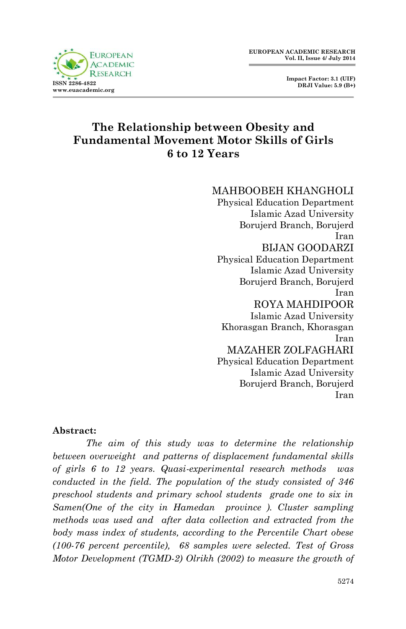



# **The Relationship between Obesity and Fundamental Movement Motor Skills of Girls 6 to 12 Years**

MAHBOOBEH KHANGHOLI

Physical Education Department Islamic Azad University Borujerd Branch, Borujerd Iran BIJAN GOODARZI Physical Education Department Islamic Azad University Borujerd Branch, Borujerd Iran ROYA MAHDIPOOR Islamic Azad University Khorasgan Branch, Khorasgan Iran MAZAHER ZOLFAGHARI Physical Education Department Islamic Azad University Borujerd Branch, Borujerd

#### Iran

#### **Abstract:**

*The aim of this study was to determine the relationship between overweight and patterns of displacement fundamental skills of girls 6 to 12 years. Quasi-experimental research methods was conducted in the field. The population of the study consisted of 346 preschool students and primary school students grade one to six in Samen(One of the city in Hamedan province ). Cluster sampling methods was used and after data collection and extracted from the body mass index of students, according to the Percentile Chart obese (100-76 percent percentile), 68 samples were selected. Test of Gross Motor Development (TGMD-2) Olrikh (2002) to measure the growth of*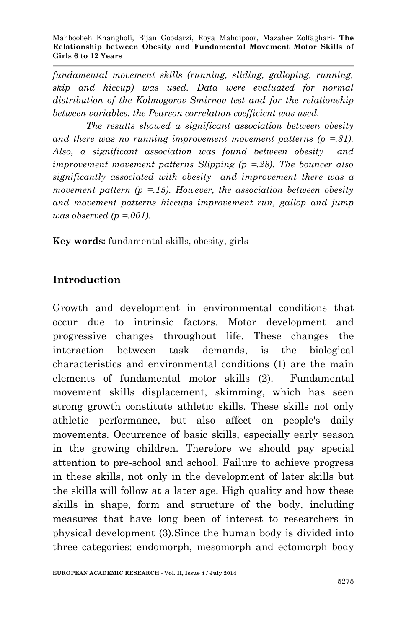*fundamental movement skills (running, sliding, galloping, running, skip and hiccup) was used. Data were evaluated for normal distribution of the Kolmogorov-Smirnov test and for the relationship between variables, the Pearson correlation coefficient was used.*

*The results showed a significant association between obesity and there was no running improvement movement patterns (p =.81). Also, a significant association was found between obesity and improvement movement patterns Slipping (p =.28). The bouncer also significantly associated with obesity and improvement there was a movement pattern (p =.15). However, the association between obesity and movement patterns hiccups improvement run, gallop and jump was observed (p =.001).*

**Key words:** fundamental skills, obesity, girls

## **Introduction**

Growth and development in environmental conditions that occur due to intrinsic factors. Motor development and progressive changes throughout life. These changes the interaction between task demands, is the biological characteristics and environmental conditions (1) are the main elements of fundamental motor skills (2). Fundamental movement skills displacement, skimming, which has seen strong growth constitute athletic skills. These skills not only athletic performance, but also affect on people's daily movements. Occurrence of basic skills, especially early season in the growing children. Therefore we should pay special attention to pre-school and school. Failure to achieve progress in these skills, not only in the development of later skills but the skills will follow at a later age. High quality and how these skills in shape, form and structure of the body, including measures that have long been of interest to researchers in physical development (3).Since the human body is divided into three categories: endomorph, mesomorph and ectomorph body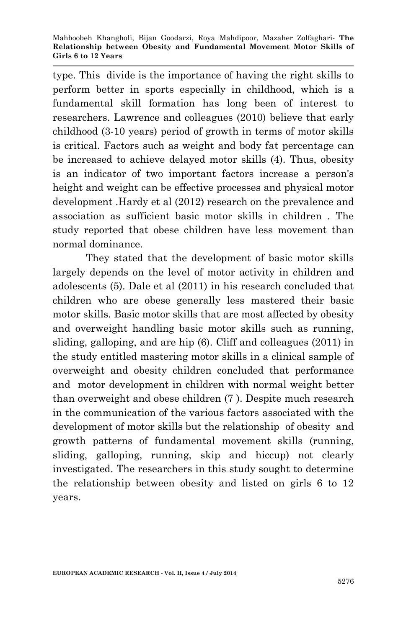type. This divide is the importance of having the right skills to perform better in sports especially in childhood, which is a fundamental skill formation has long been of interest to researchers. Lawrence and colleagues (2010) believe that early childhood (3-10 years) period of growth in terms of motor skills is critical. Factors such as weight and body fat percentage can be increased to achieve delayed motor skills (4). Thus, obesity is an indicator of two important factors increase a person's height and weight can be effective processes and physical motor development .Hardy et al (2012) research on the prevalence and association as sufficient basic motor skills in children . The study reported that obese children have less movement than normal dominance.

They stated that the development of basic motor skills largely depends on the level of motor activity in children and adolescents (5). Dale et al (2011) in his research concluded that children who are obese generally less mastered their basic motor skills. Basic motor skills that are most affected by obesity and overweight handling basic motor skills such as running, sliding, galloping, and are hip (6). Cliff and colleagues (2011) in the study entitled mastering motor skills in a clinical sample of overweight and obesity children concluded that performance and motor development in children with normal weight better than overweight and obese children (7 ). Despite much research in the communication of the various factors associated with the development of motor skills but the relationship of obesity and growth patterns of fundamental movement skills (running, sliding, galloping, running, skip and hiccup) not clearly investigated. The researchers in this study sought to determine the relationship between obesity and listed on girls 6 to 12 years.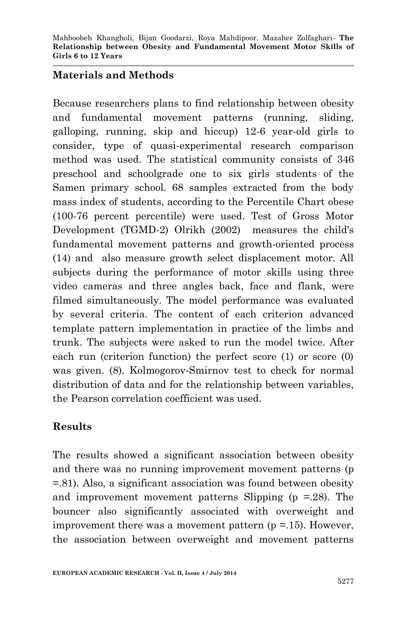### **Materials and Methods**

Because researchers plans to find relationship between obesity and fundamental movement patterns (running, sliding, galloping, running, skip and hiccup) 12-6 year-old girls to consider, type of quasi-experimental research comparison method was used. The statistical community consists of 346 preschool and schoolgrade one to six girls students of the Samen primary school. 68 samples extracted from the body mass index of students, according to the Percentile Chart obese (100-76 percent percentile) were used. Test of Gross Motor Development (TGMD-2) Olrikh (2002) measures the child's fundamental movement patterns and growth-oriented process (14) and also measure growth select displacement motor. All subjects during the performance of motor skills using three video cameras and three angles back, face and flank, were filmed simultaneously. The model performance was evaluated by several criteria. The content of each criterion advanced template pattern implementation in practice of the limbs and trunk. The subjects were asked to run the model twice. After each run (criterion function) the perfect score (1) or score (0) was given. (8). Kolmogorov-Smirnov test to check for normal distribution of data and for the relationship between variables, the Pearson correlation coefficient was used.

## **Results**

The results showed a significant association between obesity and there was no running improvement movement patterns (p =.81). Also, a significant association was found between obesity and improvement movement patterns Slipping ( $p = 28$ ). The bouncer also significantly associated with overweight and improvement there was a movement pattern  $(p = 15)$ . However, the association between overweight and movement patterns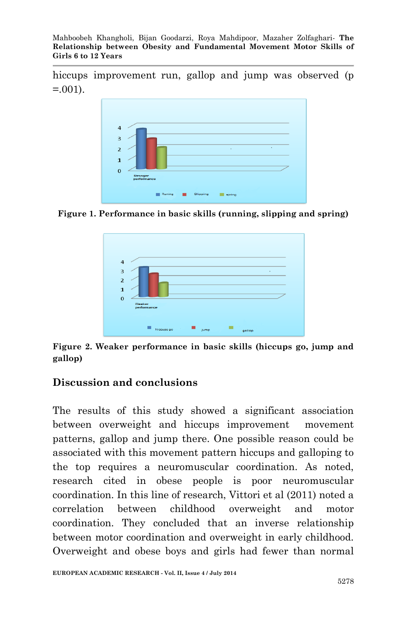Mahboobeh Khangholi, Bijan Goodarzi, Roya Mahdipoor, Mazaher Zolfaghari*-* **The Relationship between Obesity and Fundamental Movement Motor Skills of Girls 6 to 12 Years**

hiccups improvement run, gallop and jump was observed (p  $= 0.01$ .



**Figure 1. Performance in basic skills (running, slipping and spring)**



**Figure 2. Weaker performance in basic skills (hiccups go, jump and gallop)**

### **Discussion and conclusions**

The results of this study showed a significant association between overweight and hiccups improvement movement patterns, gallop and jump there. One possible reason could be associated with this movement pattern hiccups and galloping to the top requires a neuromuscular coordination. As noted, research cited in obese people is poor neuromuscular coordination. In this line of research, Vittori et al (2011) noted a correlation between childhood overweight and motor coordination. They concluded that an inverse relationship between motor coordination and overweight in early childhood. Overweight and obese boys and girls had fewer than normal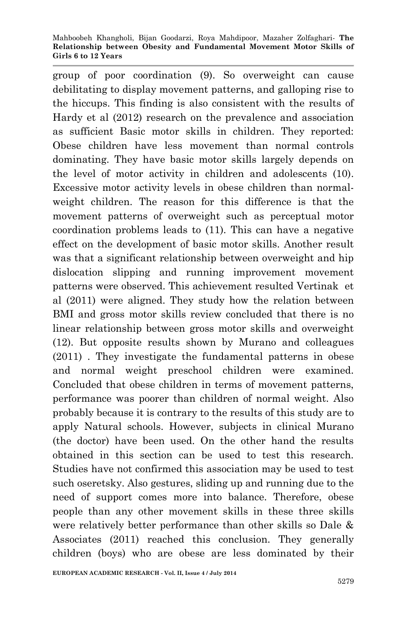group of poor coordination (9). So overweight can cause debilitating to display movement patterns, and galloping rise to the hiccups. This finding is also consistent with the results of Hardy et al (2012) research on the prevalence and association as sufficient Basic motor skills in children. They reported: Obese children have less movement than normal controls dominating. They have basic motor skills largely depends on the level of motor activity in children and adolescents (10). Excessive motor activity levels in obese children than normalweight children. The reason for this difference is that the movement patterns of overweight such as perceptual motor coordination problems leads to (11). This can have a negative effect on the development of basic motor skills. Another result was that a significant relationship between overweight and hip dislocation slipping and running improvement movement patterns were observed. This achievement resulted Vertinak et al (2011) were aligned. They study how the relation between BMI and gross motor skills review concluded that there is no linear relationship between gross motor skills and overweight (12). But opposite results shown by Murano and colleagues (2011) . They investigate the fundamental patterns in obese and normal weight preschool children were examined. Concluded that obese children in terms of movement patterns, performance was poorer than children of normal weight. Also probably because it is contrary to the results of this study are to apply Natural schools. However, subjects in clinical Murano (the doctor) have been used. On the other hand the results obtained in this section can be used to test this research. Studies have not confirmed this association may be used to test such oseretsky. Also gestures, sliding up and running due to the need of support comes more into balance. Therefore, obese people than any other movement skills in these three skills were relatively better performance than other skills so Dale & Associates (2011) reached this conclusion. They generally children (boys) who are obese are less dominated by their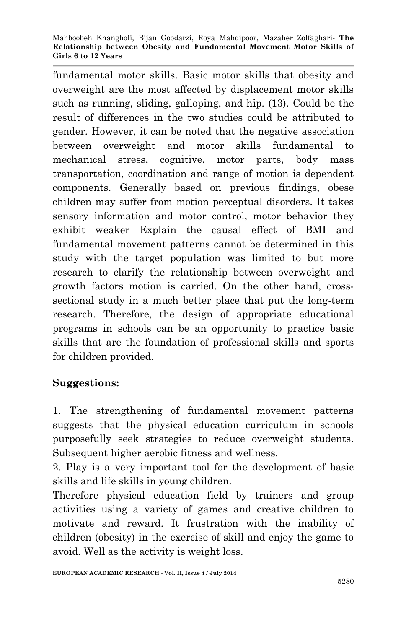fundamental motor skills. Basic motor skills that obesity and overweight are the most affected by displacement motor skills such as running, sliding, galloping, and hip. (13). Could be the result of differences in the two studies could be attributed to gender. However, it can be noted that the negative association between overweight and motor skills fundamental to mechanical stress, cognitive, motor parts, body mass transportation, coordination and range of motion is dependent components. Generally based on previous findings, obese children may suffer from motion perceptual disorders. It takes sensory information and motor control, motor behavior they exhibit weaker Explain the causal effect of BMI and fundamental movement patterns cannot be determined in this study with the target population was limited to but more research to clarify the relationship between overweight and growth factors motion is carried. On the other hand, crosssectional study in a much better place that put the long-term research. Therefore, the design of appropriate educational programs in schools can be an opportunity to practice basic skills that are the foundation of professional skills and sports for children provided.

### **Suggestions:**

1. The strengthening of fundamental movement patterns suggests that the physical education curriculum in schools purposefully seek strategies to reduce overweight students. Subsequent higher aerobic fitness and wellness.

2. Play is a very important tool for the development of basic skills and life skills in young children.

Therefore physical education field by trainers and group activities using a variety of games and creative children to motivate and reward. It frustration with the inability of children (obesity) in the exercise of skill and enjoy the game to avoid. Well as the activity is weight loss.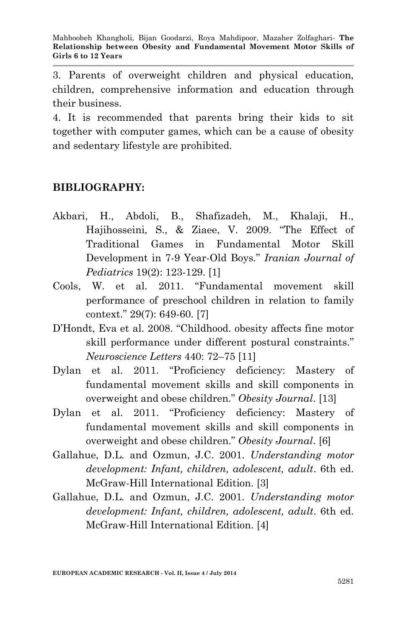3. Parents of overweight children and physical education, children, comprehensive information and education through their business.

4. It is recommended that parents bring their kids to sit together with computer games, which can be a cause of obesity and sedentary lifestyle are prohibited.

### **BIBLIOGRAPHY:**

- Akbari, H., Abdoli, B., Shafizadeh, M., Khalaji, H., Hajihosseini, S., & Ziaee, V. 2009. "The Effect of Traditional Games in Fundamental Motor Skill Development in 7-9 Year-Old Boys." *Iranian Journal of Pediatrics* 19(2): 123-129. [1]
- Cools, W. et al. 2011. "Fundamental movement skill performance of preschool children in relation to family context." 29(7): 649-60. [7]
- D'Hondt, Eva et al. 2008. "Childhood. obesity affects fine motor skill performance under different postural constraints." *Neuroscience Letters* 440: 72–75 [11]
- Dylan et al. 2011. "Proficiency deficiency: Mastery of fundamental movement skills and skill components in overweight and obese children." *Obesity Journal*. [13]
- Dylan et al. 2011. "Proficiency deficiency: Mastery of fundamental movement skills and skill components in overweight and obese children." *Obesity Journal*. [6]
- Gallahue, D.L. and Ozmun, J.C. 2001. *Understanding motor development: Infant, children, adolescent, adult*. 6th ed. McGraw-Hill International Edition. [3]
- Gallahue, D.L. and Ozmun, J.C. 2001. *Understanding motor development: Infant, children, adolescent, adult*. 6th ed. McGraw-Hill International Edition. [4]